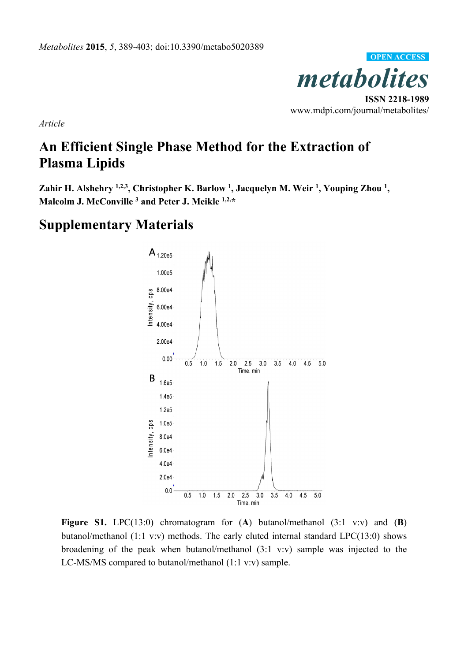

*Article* 

## **An Efficient Single Phase Method for the Extraction of Plasma Lipids**

Zahir H. Alshehry <sup>1,2,3</sup>, Christopher K. Barlow <sup>1</sup>, Jacquelyn M. Weir <sup>1</sup>, Youping Zhou <sup>1</sup>, **Malcolm J. McConville 3 and Peter J. Meikle 1,2,\*** 

## **Supplementary Materials**



**Figure S1.** LPC(13:0) chromatogram for (**A**) butanol/methanol (3:1 v:v) and (**B**) butanol/methanol (1:1 v:v) methods. The early eluted internal standard LPC(13:0) shows broadening of the peak when butanol/methanol (3:1 v:v) sample was injected to the LC-MS/MS compared to butanol/methanol (1:1 v:v) sample.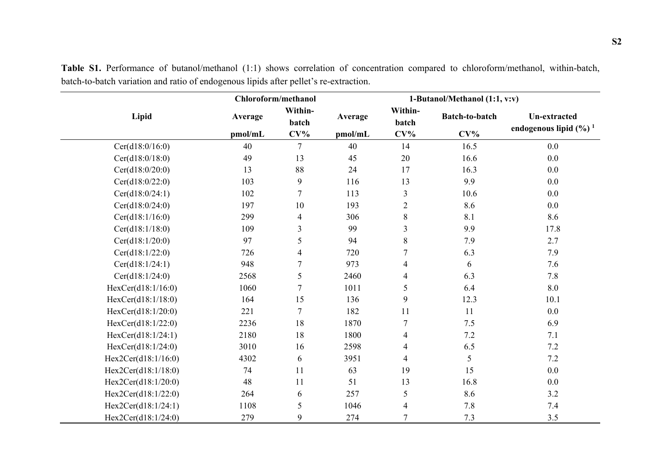|                     |                    | Chloroform/methanol        |                    | 1-Butanol/Methanol (1:1, v:v) |                          |                                                    |  |
|---------------------|--------------------|----------------------------|--------------------|-------------------------------|--------------------------|----------------------------------------------------|--|
| Lipid               | Average<br>pmol/mL | Within-<br>batch<br>$CV\%$ | Average<br>pmol/mL | Within-<br>batch<br>$CV\%$    | Batch-to-batch<br>$CV\%$ | Un-extracted<br>endogenous lipid $(\frac{6}{6})^1$ |  |
| Cer(d18:0/16:0)     | 40                 | $\overline{7}$             | 40                 | 14                            | 16.5                     | 0.0                                                |  |
| Cer(d18:0/18:0)     | 49                 | 13                         | 45                 | 20                            | 16.6                     | 0.0                                                |  |
| Cer(d18:0/20:0)     | 13                 | 88                         | 24                 | 17                            | 16.3                     | 0.0                                                |  |
| Cer(d18:0/22:0)     | 103                | 9                          | 116                | 13                            | 9.9                      | 0.0                                                |  |
| Cer(d18:0/24:1)     | 102                | 7                          | 113                | 3                             | 10.6                     | 0.0                                                |  |
| Cer(d18:0/24:0)     | 197                | 10                         | 193                | $\overline{2}$                | 8.6                      | $0.0\,$                                            |  |
| Cer(d18:1/16:0)     | 299                | $\overline{4}$             | 306                | $8\,$                         | 8.1                      | 8.6                                                |  |
| Cer(d18:1/18:0)     | 109                | 3                          | 99                 | 3                             | 9.9                      | 17.8                                               |  |
| Cer(d18:1/20:0)     | 97                 | 5                          | 94                 | 8                             | 7.9                      | 2.7                                                |  |
| Cer(d18:1/22:0)     | 726                | 4                          | 720                | $\tau$                        | 6.3                      | 7.9                                                |  |
| Cer(d18:1/24:1)     | 948                | 7                          | 973                | $\overline{4}$                | 6                        | 7.6                                                |  |
| Cer(d18:1/24:0)     | 2568               | 5                          | 2460               | $\overline{4}$                | 6.3                      | 7.8                                                |  |
| HexCer(d18:1/16:0)  | 1060               | $\tau$                     | 1011               | 5                             | 6.4                      | $8.0\,$                                            |  |
| HexCer(d18:1/18:0)  | 164                | 15                         | 136                | 9                             | 12.3                     | 10.1                                               |  |
| HexCer(d18:1/20:0)  | 221                | $\tau$                     | 182                | 11                            | 11                       | 0.0                                                |  |
| Hex Cer(d18:1/22:0) | 2236               | 18                         | 1870               | $\tau$                        | 7.5                      | 6.9                                                |  |
| HexCer(d18:1/24:1)  | 2180               | 18                         | 1800               | $\overline{4}$                | 7.2                      | 7.1                                                |  |
| HexCer(d18:1/24:0)  | 3010               | 16                         | 2598               | $\overline{4}$                | 6.5                      | $7.2\,$                                            |  |
| Hex2Cer(d18:1/16:0) | 4302               | 6                          | 3951               | $\overline{4}$                | 5                        | 7.2                                                |  |
| Hex2Cer(d18:1/18:0) | 74                 | 11                         | 63                 | 19                            | 15                       | 0.0                                                |  |
| Hex2Cer(d18:1/20:0) | 48                 | 11                         | 51                 | 13                            | 16.8                     | 0.0                                                |  |
| Hex2Cer(d18:1/22:0) | 264                | 6                          | 257                | 5                             | 8.6                      | 3.2                                                |  |
| Hex2Cer(d18:1/24:1) | 1108               | 5                          | 1046               | $\overline{4}$                | 7.8                      | $7.4\,$                                            |  |
| Hex2Cer(d18:1/24:0) | 279                | 9                          | 274                | $\overline{7}$                | 7.3                      | 3.5                                                |  |

**Table S1.** Performance of butanol/methanol (1:1) shows correlation of concentration compared to chloroform/methanol, within-batch, batch-to-batch variation and ratio of endogenous lipids after pellet's re-extraction.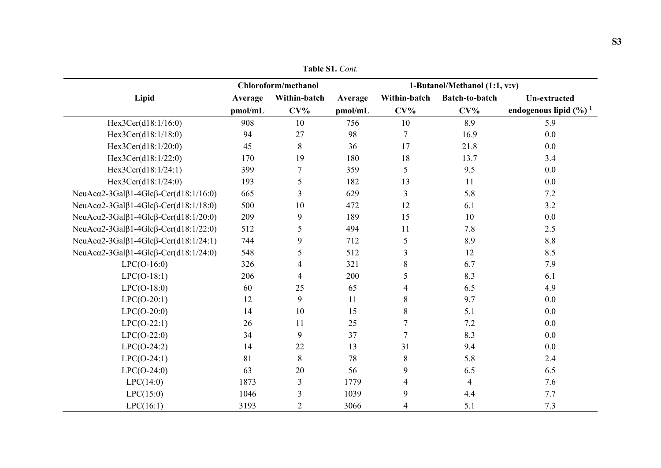| <b>Table S1.</b> Cont. |  |
|------------------------|--|
|                        |  |

|                                                               |         | <b>Chloroform/methanol</b> |         |                | 1-Butanol/Methanol (1:1, v:v) |                                    |
|---------------------------------------------------------------|---------|----------------------------|---------|----------------|-------------------------------|------------------------------------|
| Lipid                                                         | Average | Within-batch               | Average | Within-batch   | Batch-to-batch                | Un-extracted                       |
|                                                               | pmol/mL | $CV\%$                     | pmol/mL | $CV\%$         | $CV\%$                        | endogenous lipid $(\frac{6}{6})^1$ |
| Hex3Cer(d18:1/16:0)                                           | 908     | 10                         | 756     | 10             | 8.9                           | 5.9                                |
| Hex3Cer(d18:1/18:0)                                           | 94      | 27                         | 98      | $\overline{7}$ | 16.9                          | 0.0                                |
| Hex3Cer(d18: $1/20:0$ )                                       | 45      | 8                          | 36      | 17             | 21.8                          | 0.0                                |
| Hex3Cer(d18:1/22:0)                                           | 170     | 19                         | 180     | 18             | 13.7                          | 3.4                                |
| Hex3Cer(d18:1/24:1)                                           | 399     | $\overline{7}$             | 359     | 5              | 9.5                           | 0.0                                |
| Hex3Cer(d18:1/24:0)                                           | 193     | 5                          | 182     | 13             | 11                            | 0.0                                |
| NeuAc $\alpha$ 2-3Gal $\beta$ 1-4Glc $\beta$ -Cer(d18:1/16:0) | 665     | 3                          | 629     | 3              | 5.8                           | 7.2                                |
| NeuAc $\alpha$ 2-3Gal $\beta$ 1-4Glc $\beta$ -Cer(d18:1/18:0) | 500     | 10                         | 472     | 12             | 6.1                           | 3.2                                |
| NeuAc $\alpha$ 2-3Gal $\beta$ 1-4Glc $\beta$ -Cer(d18:1/20:0) | 209     | 9                          | 189     | 15             | 10                            | 0.0                                |
| NeuAc $\alpha$ 2-3Gal $\beta$ 1-4Glc $\beta$ -Cer(d18:1/22:0) | 512     | 5                          | 494     | 11             | 7.8                           | 2.5                                |
| NeuAc $\alpha$ 2-3Gal $\beta$ 1-4Glc $\beta$ -Cer(d18:1/24:1) | 744     | 9                          | 712     | 5              | 8.9                           | $8.8\,$                            |
| NeuAc $\alpha$ 2-3Gal $\beta$ 1-4Glc $\beta$ -Cer(d18:1/24:0) | 548     | 5                          | 512     | 3              | 12                            | 8.5                                |
| $LPC(O-16:0)$                                                 | 326     | $\overline{4}$             | 321     | 8              | 6.7                           | 7.9                                |
| $LPC(O-18:1)$                                                 | 206     | $\overline{4}$             | 200     | 5              | 8.3                           | 6.1                                |
| $LPC(O-18:0)$                                                 | 60      | 25                         | 65      | $\overline{4}$ | 6.5                           | 4.9                                |
| $LPC(O-20:1)$                                                 | 12      | 9                          | 11      | 8              | 9.7                           | 0.0                                |
| $LPC(O-20:0)$                                                 | 14      | 10                         | 15      | 8              | 5.1                           | 0.0                                |
| $LPC(O-22:1)$                                                 | 26      | 11                         | 25      | $\overline{7}$ | 7.2                           | 0.0                                |
| $LPC(O-22:0)$                                                 | 34      | 9                          | 37      | $\overline{7}$ | 8.3                           | 0.0                                |
| $LPC(O-24:2)$                                                 | 14      | 22                         | 13      | 31             | 9.4                           | 0.0                                |
| $LPC(O-24:1)$                                                 | 81      | 8                          | 78      | 8              | 5.8                           | 2.4                                |
| $LPC(O-24:0)$                                                 | 63      | 20                         | 56      | 9              | 6.5                           | 6.5                                |
| LPC(14:0)                                                     | 1873    | $\overline{3}$             | 1779    | $\overline{4}$ | $\overline{4}$                | 7.6                                |
| LPC(15:0)                                                     | 1046    | 3                          | 1039    | 9              | 4.4                           | 7.7                                |
| LPC(16:1)                                                     | 3193    | $\overline{2}$             | 3066    | 4              | 5.1                           | 7.3                                |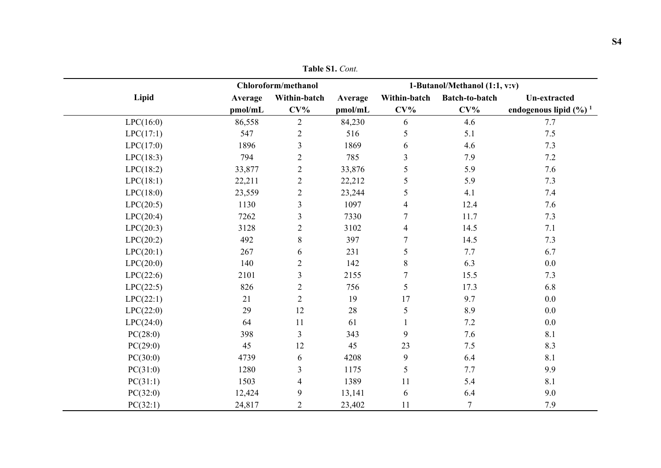|           |         | Chloroform/methanol | 1-Butanol/Methanol (1:1, v:v) |                  |                |                                    |  |
|-----------|---------|---------------------|-------------------------------|------------------|----------------|------------------------------------|--|
|           |         |                     |                               |                  |                |                                    |  |
| Lipid     | Average | Within-batch        | Average                       | Within-batch     | Batch-to-batch | Un-extracted                       |  |
|           | pmol/mL | $CV\%$              | pmol/mL                       | $CV\%$           | $CV\%$         | endogenous lipid $(\frac{6}{6})^1$ |  |
| LPC(16:0) | 86,558  | $\overline{2}$      | 84,230                        | 6                | 4.6            | 7.7                                |  |
| LPC(17:1) | 547     | $\overline{2}$      | 516                           | 5                | 5.1            | $7.5\,$                            |  |
| LPC(17:0) | 1896    | $\mathfrak{Z}$      | 1869                          | 6                | 4.6            | 7.3                                |  |
| LPC(18:3) | 794     | $\overline{2}$      | 785                           | 3                | 7.9            | $7.2\,$                            |  |
| LPC(18:2) | 33,877  | $\overline{2}$      | 33,876                        | 5                | 5.9            | 7.6                                |  |
| LPC(18:1) | 22,211  | $\overline{2}$      | 22,212                        | 5                | 5.9            | 7.3                                |  |
| LPC(18:0) | 23,559  | $\overline{2}$      | 23,244                        | 5                | 4.1            | 7.4                                |  |
| LPC(20:5) | 1130    | 3                   | 1097                          | $\overline{4}$   | 12.4           | 7.6                                |  |
| LPC(20:4) | 7262    | 3                   | 7330                          | $\tau$           | 11.7           | 7.3                                |  |
| LPC(20:3) | 3128    | $\overline{2}$      | 3102                          | $\overline{4}$   | 14.5           | $7.1\,$                            |  |
| LPC(20:2) | 492     | 8                   | 397                           | $\tau$           | 14.5           | 7.3                                |  |
| LPC(20:1) | 267     | 6                   | 231                           | 5                | 7.7            | 6.7                                |  |
| LPC(20:0) | 140     | $\overline{2}$      | 142                           | $8\,$            | 6.3            | 0.0                                |  |
| LPC(22:6) | 2101    | $\mathfrak{Z}$      | 2155                          | $\tau$           | 15.5           | 7.3                                |  |
| LPC(22:5) | 826     | $\overline{2}$      | 756                           | 5                | 17.3           | 6.8                                |  |
| LPC(22:1) | 21      | $\overline{2}$      | 19                            | 17               | 9.7            | $0.0\,$                            |  |
| LPC(22:0) | 29      | 12                  | 28                            | 5                | 8.9            | $0.0\,$                            |  |
| LPC(24:0) | 64      | 11                  | 61                            |                  | 7.2            | $0.0\,$                            |  |
| PC(28:0)  | 398     | 3                   | 343                           | 9                | 7.6            | 8.1                                |  |
| PC(29:0)  | 45      | 12                  | 45                            | 23               | 7.5            | $8.3\,$                            |  |
| PC(30:0)  | 4739    | 6                   | 4208                          | $\boldsymbol{9}$ | 6.4            | 8.1                                |  |
| PC(31:0)  | 1280    | 3                   | 1175                          | 5                | 7.7            | 9.9                                |  |
| PC(31:1)  | 1503    | $\overline{4}$      | 1389                          | 11               | 5.4            | $8.1\,$                            |  |
| PC(32:0)  | 12,424  | 9                   | 13,141                        | 6                | 6.4            | 9.0                                |  |
| PC(32:1)  | 24,817  | $\overline{2}$      | 23,402                        | 11               | $\overline{7}$ | 7.9                                |  |

**Table S1.** *Cont.*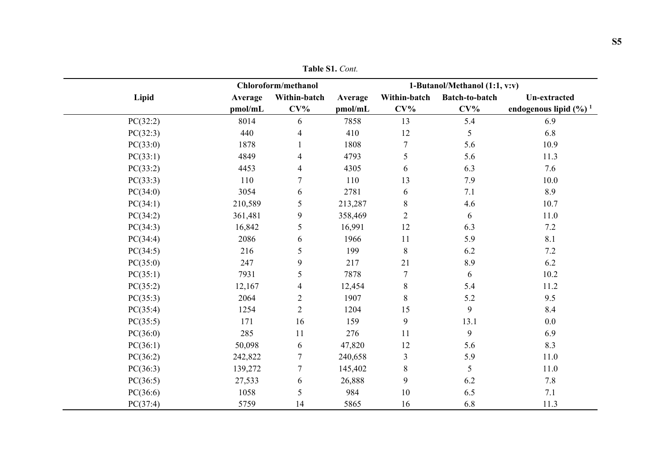|          |         | Chloroform/methanol |         |                  | 1-Butanol/Methanol (1:1, v:v) |                                    |
|----------|---------|---------------------|---------|------------------|-------------------------------|------------------------------------|
| Lipid    | Average | Within-batch        | Average | Within-batch     | <b>Batch-to-batch</b>         | <b>Un-extracted</b>                |
|          | pmol/mL | $CV\%$              | pmol/mL | $CV\%$           | $CV\%$                        | endogenous lipid $(\frac{6}{6})^1$ |
| PC(32:2) | 8014    | 6                   | 7858    | 13               | 5.4                           | 6.9                                |
| PC(32:3) | 440     | $\overline{4}$      | 410     | 12               | 5                             | 6.8                                |
| PC(33:0) | 1878    |                     | 1808    | $\boldsymbol{7}$ | 5.6                           | 10.9                               |
| PC(33:1) | 4849    | $\overline{4}$      | 4793    | 5                | 5.6                           | 11.3                               |
| PC(33:2) | 4453    | $\overline{4}$      | 4305    | 6                | 6.3                           | 7.6                                |
| PC(33:3) | 110     | $\overline{7}$      | 110     | 13               | 7.9                           | 10.0                               |
| PC(34:0) | 3054    | 6                   | 2781    | 6                | 7.1                           | 8.9                                |
| PC(34:1) | 210,589 | 5                   | 213,287 | $8\,$            | 4.6                           | 10.7                               |
| PC(34:2) | 361,481 | $\boldsymbol{9}$    | 358,469 | $\sqrt{2}$       | 6                             | $11.0\,$                           |
| PC(34:3) | 16,842  | 5                   | 16,991  | 12               | 6.3                           | 7.2                                |
| PC(34:4) | 2086    | 6                   | 1966    | 11               | 5.9                           | $8.1\,$                            |
| PC(34:5) | 216     | 5                   | 199     | $8\,$            | 6.2                           | $7.2\,$                            |
| PC(35:0) | 247     | 9                   | 217     | 21               | 8.9                           | 6.2                                |
| PC(35:1) | 7931    | $\sqrt{5}$          | 7878    | $\boldsymbol{7}$ | 6                             | $10.2\,$                           |
| PC(35:2) | 12,167  | $\overline{4}$      | 12,454  | $8\,$            | 5.4                           | 11.2                               |
| PC(35:3) | 2064    | $\mathbf{2}$        | 1907    | $8\,$            | 5.2                           | 9.5                                |
| PC(35:4) | 1254    | $\overline{2}$      | 1204    | 15               | 9                             | 8.4                                |
| PC(35:5) | 171     | 16                  | 159     | 9                | 13.1                          | 0.0                                |
| PC(36:0) | 285     | 11                  | 276     | 11               | 9                             | 6.9                                |
| PC(36:1) | 50,098  | 6                   | 47,820  | 12               | 5.6                           | 8.3                                |
| PC(36:2) | 242,822 | $\tau$              | 240,658 | $\mathfrak{Z}$   | 5.9                           | 11.0                               |
| PC(36:3) | 139,272 | $\tau$              | 145,402 | $8\,$            | 5                             | $11.0\,$                           |
| PC(36:5) | 27,533  | 6                   | 26,888  | 9                | 6.2                           | 7.8                                |
| PC(36:6) | 1058    | 5                   | 984     | $10\,$           | 6.5                           | 7.1                                |
| PC(37:4) | 5759    | 14                  | 5865    | 16               | 6.8                           | 11.3                               |

**Table S1.** *Cont.*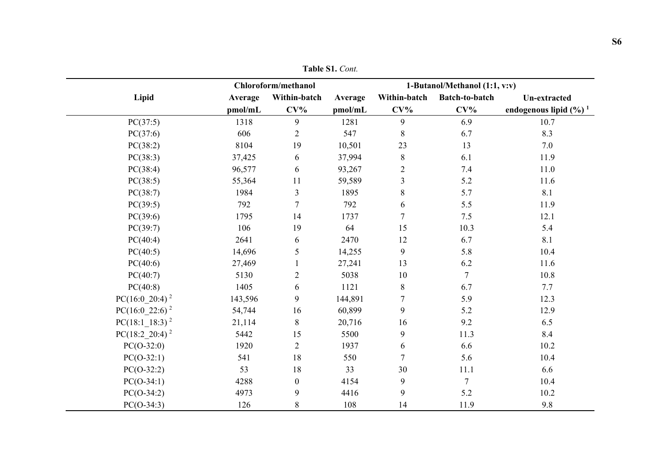|                            |         | Chloroform/methanol |         | 1-Butanol/Methanol (1:1, v:v) |                |                                    |
|----------------------------|---------|---------------------|---------|-------------------------------|----------------|------------------------------------|
| Lipid                      | Average | Within-batch        | Average | Within-batch                  | Batch-to-batch | Un-extracted                       |
|                            | pmol/mL | $CV\%$              | pmol/mL | $CV\%$                        | $CV\%$         | endogenous lipid $(\frac{6}{6})^1$ |
| PC(37:5)                   | 1318    | 9                   | 1281    | 9                             | 6.9            | 10.7                               |
| PC(37:6)                   | 606     | $\overline{2}$      | 547     | $8\,$                         | 6.7            | 8.3                                |
| PC(38:2)                   | 8104    | 19                  | 10,501  | 23                            | 13             | 7.0                                |
| PC(38:3)                   | 37,425  | 6                   | 37,994  | $\,8\,$                       | 6.1            | 11.9                               |
| PC(38:4)                   | 96,577  | 6                   | 93,267  | $\overline{c}$                | 7.4            | 11.0                               |
| PC(38:5)                   | 55,364  | 11                  | 59,589  | 3                             | 5.2            | 11.6                               |
| PC(38:7)                   | 1984    | $\mathfrak{Z}$      | 1895    | $8\,$                         | 5.7            | 8.1                                |
| PC(39:5)                   | 792     | $\overline{7}$      | 792     | 6                             | 5.5            | 11.9                               |
| PC(39:6)                   | 1795    | 14                  | 1737    | $\tau$                        | 7.5            | 12.1                               |
| PC(39:7)                   | 106     | 19                  | 64      | 15                            | 10.3           | 5.4                                |
| PC(40:4)                   | 2641    | 6                   | 2470    | 12                            | 6.7            | 8.1                                |
| PC(40:5)                   | 14,696  | 5                   | 14,255  | 9                             | 5.8            | 10.4                               |
| PC(40:6)                   | 27,469  |                     | 27,241  | 13                            | 6.2            | 11.6                               |
| PC(40:7)                   | 5130    | $\overline{2}$      | 5038    | $10\,$                        | $\overline{7}$ | 10.8                               |
| PC(40:8)                   | 1405    | 6                   | 1121    | $8\,$                         | 6.7            | 7.7                                |
| $PC(16:0_20:4)^2$          | 143,596 | 9                   | 144,891 | $\tau$                        | 5.9            | 12.3                               |
| $PC(16:0_22:6)^2$          | 54,744  | 16                  | 60,899  | 9                             | 5.2            | 12.9                               |
| $PC(18:1\;18:3)^2$         | 21,114  | 8                   | 20,716  | 16                            | 9.2            | 6.5                                |
| PC(18:2 20:4) <sup>2</sup> | 5442    | 15                  | 5500    | 9                             | 11.3           | 8.4                                |
| $PC(O-32:0)$               | 1920    | $\overline{2}$      | 1937    | 6                             | 6.6            | 10.2                               |
| $PC(O-32:1)$               | 541     | 18                  | 550     | $\overline{7}$                | 5.6            | 10.4                               |
| $PC(O-32:2)$               | 53      | 18                  | 33      | 30                            | 11.1           | 6.6                                |
| $PC(O-34:1)$               | 4288    | $\boldsymbol{0}$    | 4154    | 9                             | $\overline{7}$ | 10.4                               |
| $PC(O-34:2)$               | 4973    | 9                   | 4416    | 9                             | 5.2            | 10.2                               |
| $PC(O-34:3)$               | 126     | $\, 8$              | 108     | 14                            | 11.9           | 9.8                                |

**Table S1.** *Cont.*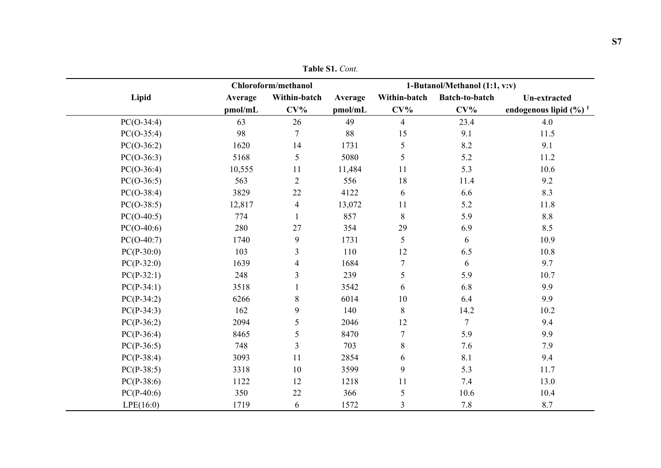|              |         | Chloroform/methanol |         |                | 1-Butanol/Methanol (1:1, v:v) |                                    |
|--------------|---------|---------------------|---------|----------------|-------------------------------|------------------------------------|
| Lipid        | Average | Within-batch        | Average | Within-batch   | <b>Batch-to-batch</b>         | <b>Un-extracted</b>                |
|              | pmol/mL | $CV\%$              | pmol/mL | $CV\%$         | $CV\%$                        | endogenous lipid $(\frac{6}{6})^1$ |
| $PC(O-34:4)$ | 63      | 26                  | 49      | $\overline{4}$ | 23.4                          | 4.0                                |
| $PC(O-35:4)$ | 98      | $\tau$              | 88      | 15             | 9.1                           | 11.5                               |
| $PC(O-36:2)$ | 1620    | 14                  | 1731    | 5              | 8.2                           | 9.1                                |
| $PC(O-36:3)$ | 5168    | 5                   | 5080    | 5              | 5.2                           | 11.2                               |
| $PC(O-36:4)$ | 10,555  | 11                  | 11,484  | 11             | 5.3                           | 10.6                               |
| $PC(O-36:5)$ | 563     | $\overline{2}$      | 556     | 18             | 11.4                          | 9.2                                |
| $PC(O-38:4)$ | 3829    | 22                  | 4122    | 6              | 6.6                           | 8.3                                |
| $PC(O-38:5)$ | 12,817  | $\overline{4}$      | 13,072  | 11             | 5.2                           | $11.8\,$                           |
| $PC(O-40:5)$ | 774     | $\mathbf{1}$        | 857     | $\,8\,$        | 5.9                           | $8.8\,$                            |
| $PC(O-40:6)$ | 280     | 27                  | 354     | 29             | 6.9                           | 8.5                                |
| $PC(O-40:7)$ | 1740    | 9                   | 1731    | 5              | 6                             | 10.9                               |
| $PC(P-30:0)$ | 103     | 3                   | 110     | 12             | 6.5                           | $10.8\,$                           |
| $PC(P-32:0)$ | 1639    | 4                   | 1684    | $\overline{7}$ | 6                             | 9.7                                |
| $PC(P-32:1)$ | 248     | 3                   | 239     | 5              | 5.9                           | 10.7                               |
| $PC(P-34:1)$ | 3518    | 1                   | 3542    | 6              | 6.8                           | 9.9                                |
| $PC(P-34:2)$ | 6266    | $\,8\,$             | 6014    | 10             | 6.4                           | 9.9                                |
| $PC(P-34:3)$ | 162     | 9                   | 140     | $8\,$          | 14.2                          | 10.2                               |
| $PC(P-36:2)$ | 2094    | 5                   | 2046    | 12             | $\overline{7}$                | 9.4                                |
| $PC(P-36:4)$ | 8465    | 5                   | 8470    | $\tau$         | 5.9                           | 9.9                                |
| $PC(P-36:5)$ | 748     | $\overline{3}$      | 703     | $\,8\,$        | 7.6                           | 7.9                                |
| $PC(P-38:4)$ | 3093    | 11                  | 2854    | 6              | 8.1                           | 9.4                                |
| $PC(P-38:5)$ | 3318    | 10                  | 3599    | 9              | 5.3                           | 11.7                               |
| $PC(P-38:6)$ | 1122    | 12                  | 1218    | 11             | 7.4                           | 13.0                               |
| $PC(P-40:6)$ | 350     | 22                  | 366     | $\mathfrak s$  | 10.6                          | 10.4                               |
| LPE(16:0)    | 1719    | 6                   | 1572    | 3              | 7.8                           | 8.7                                |

**Table S1.** *Cont.*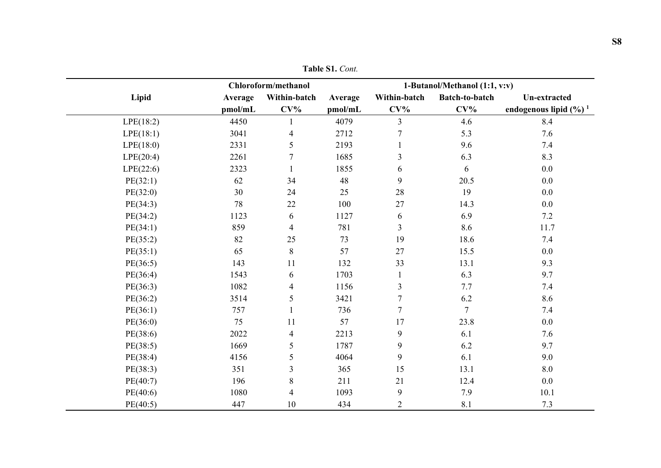|           |         | Chloroform/methanol      |         | 1-Butanol/Methanol (1:1, v:v) |                |                                    |  |
|-----------|---------|--------------------------|---------|-------------------------------|----------------|------------------------------------|--|
| Lipid     | Average | Within-batch             | Average | Within-batch                  | Batch-to-batch | <b>Un-extracted</b>                |  |
|           | pmol/mL | $CV\%$                   | pmol/mL | $CV\%$                        | $CV\%$         | endogenous lipid $(\frac{6}{6})^1$ |  |
| LPE(18:2) | 4450    |                          | 4079    | $\overline{3}$                | 4.6            | 8.4                                |  |
| LPE(18:1) | 3041    | $\overline{4}$           | 2712    | $\tau$                        | 5.3            | 7.6                                |  |
| LPE(18:0) | 2331    | 5                        | 2193    | 1                             | 9.6            | 7.4                                |  |
| LPE(20:4) | 2261    | $\tau$                   | 1685    | 3                             | 6.3            | 8.3                                |  |
| LPE(22:6) | 2323    |                          | 1855    | 6                             | 6              | $0.0\,$                            |  |
| PE(32:1)  | 62      | 34                       | 48      | 9                             | 20.5           | 0.0                                |  |
| PE(32:0)  | 30      | 24                       | 25      | 28                            | 19             | 0.0                                |  |
| PE(34:3)  | 78      | $22\,$                   | 100     | 27                            | 14.3           | 0.0                                |  |
| PE(34:2)  | 1123    | 6                        | 1127    | 6                             | 6.9            | 7.2                                |  |
| PE(34:1)  | 859     | $\overline{\mathbf{4}}$  | 781     | $\overline{3}$                | 8.6            | 11.7                               |  |
| PE(35:2)  | 82      | 25                       | 73      | 19                            | 18.6           | 7.4                                |  |
| PE(35:1)  | 65      | $8\,$                    | 57      | 27                            | 15.5           | $0.0\,$                            |  |
| PE(36:5)  | 143     | 11                       | 132     | 33                            | 13.1           | 9.3                                |  |
| PE(36:4)  | 1543    | 6                        | 1703    | $\mathbf{1}$                  | 6.3            | 9.7                                |  |
| PE(36:3)  | 1082    | $\overline{\mathcal{A}}$ | 1156    | 3                             | 7.7            | $7.4\,$                            |  |
| PE(36:2)  | 3514    | 5                        | 3421    | $\boldsymbol{7}$              | 6.2            | 8.6                                |  |
| PE(36:1)  | 757     | $\mathbf{1}$             | 736     | $\overline{7}$                | $\tau$         | 7.4                                |  |
| PE(36:0)  | 75      | 11                       | 57      | 17                            | 23.8           | 0.0                                |  |
| PE(38:6)  | 2022    | $\overline{4}$           | 2213    | 9                             | 6.1            | 7.6                                |  |
| PE(38:5)  | 1669    | 5                        | 1787    | 9                             | 6.2            | 9.7                                |  |
| PE(38:4)  | 4156    | 5                        | 4064    | 9                             | 6.1            | 9.0                                |  |
| PE(38:3)  | 351     | $\mathfrak{Z}$           | 365     | 15                            | 13.1           | $\boldsymbol{8.0}$                 |  |
| PE(40:7)  | 196     | $8\,$                    | 211     | 21                            | 12.4           | 0.0                                |  |
| PE(40:6)  | 1080    | $\overline{\mathbf{4}}$  | 1093    | 9                             | 7.9            | 10.1                               |  |
| PE(40:5)  | 447     | 10                       | 434     | $\overline{2}$                | 8.1            | 7.3                                |  |

**Table S1.** *Cont.*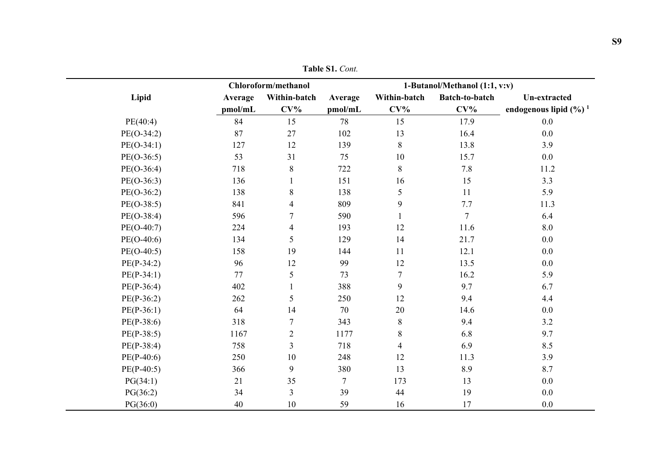|              |         | Chloroform/methanol |                |                          | 1-Butanol/Methanol (1:1, v:v) |                                    |  |
|--------------|---------|---------------------|----------------|--------------------------|-------------------------------|------------------------------------|--|
| Lipid        | Average | Within-batch        | Average        | Within-batch             | Batch-to-batch                | Un-extracted                       |  |
|              | pmol/mL | $CV\%$              | pmol/mL        | $CV\%$                   | $CV\%$                        | endogenous lipid $(\frac{6}{6})^1$ |  |
| PE(40:4)     | 84      | 15                  | 78             | 15                       | 17.9                          | 0.0                                |  |
| $PE(O-34:2)$ | 87      | 27                  | 102            | 13                       | 16.4                          | 0.0                                |  |
| $PE(O-34:1)$ | 127     | 12                  | 139            | $\, 8$                   | 13.8                          | 3.9                                |  |
| $PE(O-36:5)$ | 53      | 31                  | 75             | 10                       | 15.7                          | 0.0                                |  |
| $PE(O-36:4)$ | 718     | $8\,$               | 722            | 8                        | 7.8                           | 11.2                               |  |
| $PE(O-36:3)$ | 136     |                     | 151            | 16                       | 15                            | 3.3                                |  |
| $PE(O-36:2)$ | 138     | $8\,$               | 138            | 5                        | 11                            | 5.9                                |  |
| $PE(O-38:5)$ | 841     | 4                   | 809            | 9                        | 7.7                           | 11.3                               |  |
| $PE(O-38:4)$ | 596     | $\boldsymbol{7}$    | 590            |                          | $\overline{7}$                | 6.4                                |  |
| $PE(O-40:7)$ | 224     | 4                   | 193            | 12                       | 11.6                          | $8.0\,$                            |  |
| $PE(O-40:6)$ | 134     | 5                   | 129            | 14                       | 21.7                          | $0.0\,$                            |  |
| $PE(O-40:5)$ | 158     | 19                  | 144            | 11                       | 12.1                          | 0.0                                |  |
| $PE(P-34:2)$ | 96      | 12                  | 99             | 12                       | 13.5                          | 0.0                                |  |
| $PE(P-34:1)$ | 77      | 5                   | 73             | $\tau$                   | 16.2                          | 5.9                                |  |
| $PE(P-36:4)$ | 402     |                     | 388            | 9                        | 9.7                           | 6.7                                |  |
| $PE(P-36:2)$ | 262     | 5                   | 250            | 12                       | 9.4                           | 4.4                                |  |
| $PE(P-36:1)$ | 64      | 14                  | 70             | 20                       | 14.6                          | $0.0\,$                            |  |
| $PE(P-38:6)$ | 318     | $\tau$              | 343            | $\,8\,$                  | 9.4                           | 3.2                                |  |
| $PE(P-38:5)$ | 1167    | $\boldsymbol{2}$    | 1177           | $\,8\,$                  | 6.8                           | 9.7                                |  |
| $PE(P-38:4)$ | 758     | $\overline{3}$      | 718            | $\overline{\mathcal{A}}$ | 6.9                           | 8.5                                |  |
| $PE(P-40:6)$ | 250     | $10\,$              | 248            | 12                       | 11.3                          | 3.9                                |  |
| $PE(P-40:5)$ | 366     | 9                   | 380            | 13                       | 8.9                           | 8.7                                |  |
| PG(34:1)     | 21      | 35                  | $\overline{7}$ | 173                      | 13                            | 0.0                                |  |
| PG(36:2)     | 34      | 3                   | 39             | 44                       | 19                            | 0.0                                |  |
| PG(36:0)     | 40      | $10\,$              | 59             | 16                       | 17                            | 0.0                                |  |

**Table S1.** *Cont.*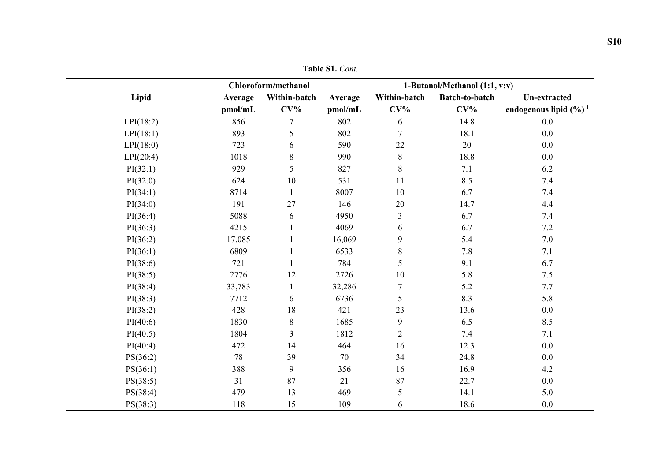|           |         | Chloroform/methanol |         |                  | 1-Butanol/Methanol (1:1, v:v) |                                    |
|-----------|---------|---------------------|---------|------------------|-------------------------------|------------------------------------|
| Lipid     | Average | Within-batch        | Average | Within-batch     | Batch-to-batch                | Un-extracted                       |
|           | pmol/mL | $CV\%$              | pmol/mL | $CV\%$           | $CV\%$                        | endogenous lipid $(\frac{6}{6})^1$ |
| LPI(18:2) | 856     | $\overline{7}$      | 802     | 6                | 14.8                          | $0.0\,$                            |
| LPI(18:1) | 893     | 5                   | 802     | $\overline{7}$   | 18.1                          | $0.0\,$                            |
| LPI(18:0) | 723     | 6                   | 590     | 22               | 20                            | 0.0                                |
| LPI(20:4) | 1018    | $8\,$               | 990     | $8\,$            | 18.8                          | 0.0                                |
| PI(32:1)  | 929     | 5                   | 827     | 8                | 7.1                           | 6.2                                |
| PI(32:0)  | 624     | $10\,$              | 531     | 11               | 8.5                           | 7.4                                |
| PI(34:1)  | 8714    | $\mathbf{1}$        | 8007    | 10               | 6.7                           | $7.4\,$                            |
| PI(34:0)  | 191     | 27                  | 146     | 20               | 14.7                          | 4.4                                |
| PI(36:4)  | 5088    | 6                   | 4950    | $\mathfrak{Z}$   | 6.7                           | $7.4\,$                            |
| PI(36:3)  | 4215    | 1                   | 4069    | 6                | 6.7                           | 7.2                                |
| PI(36:2)  | 17,085  |                     | 16,069  | 9                | 5.4                           | $7.0\,$                            |
| PI(36:1)  | 6809    | $\mathbf{1}$        | 6533    | $8\,$            | $7.8\,$                       | 7.1                                |
| PI(38:6)  | 721     |                     | 784     | 5                | 9.1                           | 6.7                                |
| PI(38:5)  | 2776    | 12                  | 2726    | 10               | 5.8                           | 7.5                                |
| PI(38:4)  | 33,783  | $\mathbf{1}$        | 32,286  | $\tau$           | 5.2                           | 7.7                                |
| PI(38:3)  | 7712    | 6                   | 6736    | 5                | 8.3                           | 5.8                                |
| PI(38:2)  | 428     | $18\,$              | 421     | 23               | 13.6                          | $0.0\,$                            |
| PI(40:6)  | 1830    | $\,8\,$             | 1685    | $\boldsymbol{9}$ | 6.5                           | 8.5                                |
| PI(40:5)  | 1804    | 3                   | 1812    | $\overline{2}$   | 7.4                           | 7.1                                |
| PI(40:4)  | 472     | 14                  | 464     | 16               | 12.3                          | 0.0                                |
| PS(36:2)  | 78      | 39                  | 70      | 34               | 24.8                          | 0.0                                |
| PS(36:1)  | 388     | 9                   | 356     | 16               | 16.9                          | 4.2                                |
| PS(38:5)  | 31      | 87                  | 21      | 87               | 22.7                          | 0.0                                |
| PS(38:4)  | 479     | 13                  | 469     | 5                | 14.1                          | 5.0                                |
| PS(38:3)  | 118     | 15                  | 109     | 6                | 18.6                          | 0.0                                |

**Table S1.** *Cont.*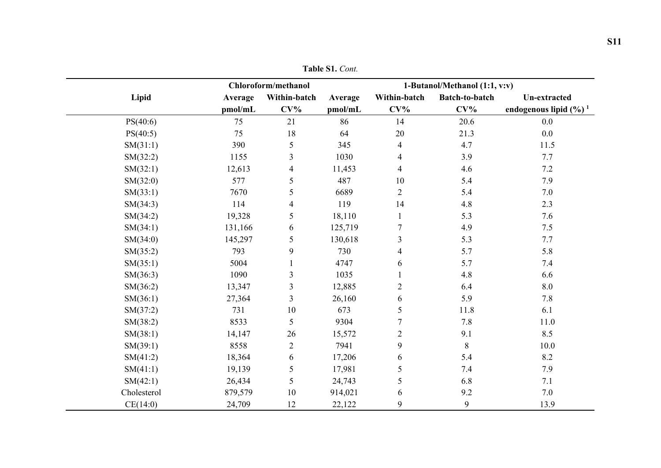|             |         | Chloroform/methanol      |         |                  | 1-Butanol/Methanol (1:1, v:v) |                                    |  |
|-------------|---------|--------------------------|---------|------------------|-------------------------------|------------------------------------|--|
| Lipid       | Average | Within-batch             | Average | Within-batch     | Batch-to-batch                | Un-extracted                       |  |
|             | pmol/mL | $CV\%$                   | pmol/mL | $CV\%$           | $CV\%$                        | endogenous lipid $(\frac{6}{6})^1$ |  |
| PS(40:6)    | 75      | 21                       | 86      | 14               | 20.6                          | 0.0                                |  |
| PS(40:5)    | 75      | 18                       | 64      | 20               | 21.3                          | 0.0                                |  |
| SM(31:1)    | 390     | 5                        | 345     | $\overline{4}$   | 4.7                           | 11.5                               |  |
| SM(32:2)    | 1155    | $\mathfrak{Z}$           | 1030    | $\overline{4}$   | 3.9                           | 7.7                                |  |
| SM(32:1)    | 12,613  | $\overline{\mathcal{A}}$ | 11,453  | $\overline{4}$   | 4.6                           | 7.2                                |  |
| SM(32:0)    | 577     | 5                        | 487     | 10               | 5.4                           | 7.9                                |  |
| SM(33:1)    | 7670    | 5                        | 6689    | $\overline{2}$   | 5.4                           | $7.0\,$                            |  |
| SM(34:3)    | 114     | $\overline{\mathcal{A}}$ | 119     | 14               | $4.8\,$                       | 2.3                                |  |
| SM(34:2)    | 19,328  | 5                        | 18,110  |                  | 5.3                           | 7.6                                |  |
| SM(34:1)    | 131,166 | 6                        | 125,719 | $\tau$           | 4.9                           | $7.5$                              |  |
| SM(34:0)    | 145,297 | 5                        | 130,618 | 3                | 5.3                           | 7.7                                |  |
| SM(35:2)    | 793     | 9                        | 730     | $\overline{4}$   | 5.7                           | 5.8                                |  |
| SM(35:1)    | 5004    |                          | 4747    | 6                | 5.7                           | 7.4                                |  |
| SM(36:3)    | 1090    | $\mathfrak{Z}$           | 1035    |                  | $4.8\,$                       | 6.6                                |  |
| SM(36:2)    | 13,347  | 3                        | 12,885  | $\sqrt{2}$       | 6.4                           | $\boldsymbol{8.0}$                 |  |
| SM(36:1)    | 27,364  | 3                        | 26,160  | 6                | 5.9                           | 7.8                                |  |
| SM(37:2)    | 731     | $10\,$                   | 673     | $\mathfrak s$    | 11.8                          | 6.1                                |  |
| SM(38:2)    | 8533    | 5                        | 9304    | $\overline{7}$   | 7.8                           | 11.0                               |  |
| SM(38:1)    | 14,147  | 26                       | 15,572  | $\sqrt{2}$       | 9.1                           | 8.5                                |  |
| SM(39:1)    | 8558    | $\overline{c}$           | 7941    | $\boldsymbol{9}$ | $8\,$                         | $10.0\,$                           |  |
| SM(41:2)    | 18,364  | 6                        | 17,206  | 6                | 5.4                           | 8.2                                |  |
| SM(41:1)    | 19,139  | 5                        | 17,981  | $\sqrt{5}$       | 7.4                           | 7.9                                |  |
| SM(42:1)    | 26,434  | 5                        | 24,743  | 5                | 6.8                           | 7.1                                |  |
| Cholesterol | 879,579 | 10                       | 914,021 | 6                | 9.2                           | 7.0                                |  |
| CE(14:0)    | 24,709  | 12                       | 22,122  | 9                | 9                             | 13.9                               |  |

**Table S1.** *Cont.*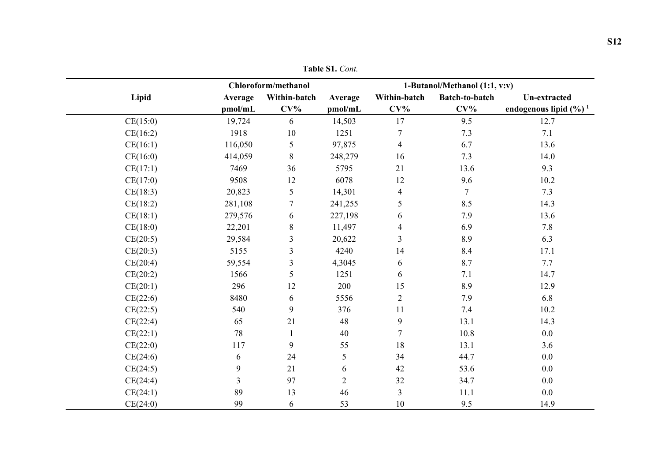|          |              | Chloroform/methanol |                |                  | 1-Butanol/Methanol (1:1, v:v) |                                    |  |  |
|----------|--------------|---------------------|----------------|------------------|-------------------------------|------------------------------------|--|--|
| Lipid    | Average      | Within-batch        | Average        | Within-batch     | Batch-to-batch                | <b>Un-extracted</b>                |  |  |
|          | pmol/mL      | $CV\%$              | pmol/mL        | $CV\%$           | $CV\%$                        | endogenous lipid $(\frac{6}{6})^1$ |  |  |
| CE(15:0) | 19,724       | 6                   | 14,503         | 17               | 9.5                           | 12.7                               |  |  |
| CE(16:2) | 1918         | $10\,$              | 1251           | $\boldsymbol{7}$ | 7.3                           | 7.1                                |  |  |
| CE(16:1) | 116,050      | 5                   | 97,875         | $\overline{4}$   | 6.7                           | 13.6                               |  |  |
| CE(16:0) | 414,059      | $\,8\,$             | 248,279        | 16               | 7.3                           | 14.0                               |  |  |
| CE(17:1) | 7469         | 36                  | 5795           | 21               | 13.6                          | 9.3                                |  |  |
| CE(17:0) | 9508         | 12                  | 6078           | 12               | 9.6                           | 10.2                               |  |  |
| CE(18:3) | 20,823       | 5                   | 14,301         | $\overline{4}$   | $\overline{7}$                | 7.3                                |  |  |
| CE(18:2) | 281,108      | $\tau$              | 241,255        | 5                | 8.5                           | 14.3                               |  |  |
| CE(18:1) | 279,576      | 6                   | 227,198        | 6                | 7.9                           | 13.6                               |  |  |
| CE(18:0) | 22,201       | $8\,$               | 11,497         | $\overline{4}$   | 6.9                           | 7.8                                |  |  |
| CE(20:5) | 29,584       | 3                   | 20,622         | $\overline{3}$   | 8.9                           | 6.3                                |  |  |
| CE(20:3) | 5155         | $\overline{3}$      | 4240           | 14               | 8.4                           | 17.1                               |  |  |
| CE(20:4) | 59,554       | $\mathfrak{Z}$      | 4,3045         | 6                | 8.7                           | 7.7                                |  |  |
| CE(20:2) | 1566         | 5                   | 1251           | 6                | 7.1                           | 14.7                               |  |  |
| CE(20:1) | 296          | 12                  | 200            | 15               | 8.9                           | 12.9                               |  |  |
| CE(22:6) | 8480         | 6                   | 5556           | $\overline{2}$   | 7.9                           | 6.8                                |  |  |
| CE(22:5) | 540          | 9                   | 376            | 11               | 7.4                           | 10.2                               |  |  |
| CE(22:4) | 65           | 21                  | 48             | 9                | 13.1                          | 14.3                               |  |  |
| CE(22:1) | 78           |                     | 40             | $\overline{7}$   | 10.8                          | $0.0\,$                            |  |  |
| CE(22:0) | 117          | 9                   | 55             | 18               | 13.1                          | 3.6                                |  |  |
| CE(24:6) | 6            | 24                  | 5              | 34               | 44.7                          | 0.0                                |  |  |
| CE(24:5) | $\mathbf{9}$ | 21                  | 6              | 42               | 53.6                          | 0.0                                |  |  |
| CE(24:4) | 3            | 97                  | $\overline{2}$ | 32               | 34.7                          | 0.0                                |  |  |
| CE(24:1) | 89           | 13                  | 46             | $\mathfrak{Z}$   | 11.1                          | 0.0                                |  |  |
| CE(24:0) | 99           | 6                   | 53             | 10               | 9.5                           | 14.9                               |  |  |

**Table S1.** *Cont.*